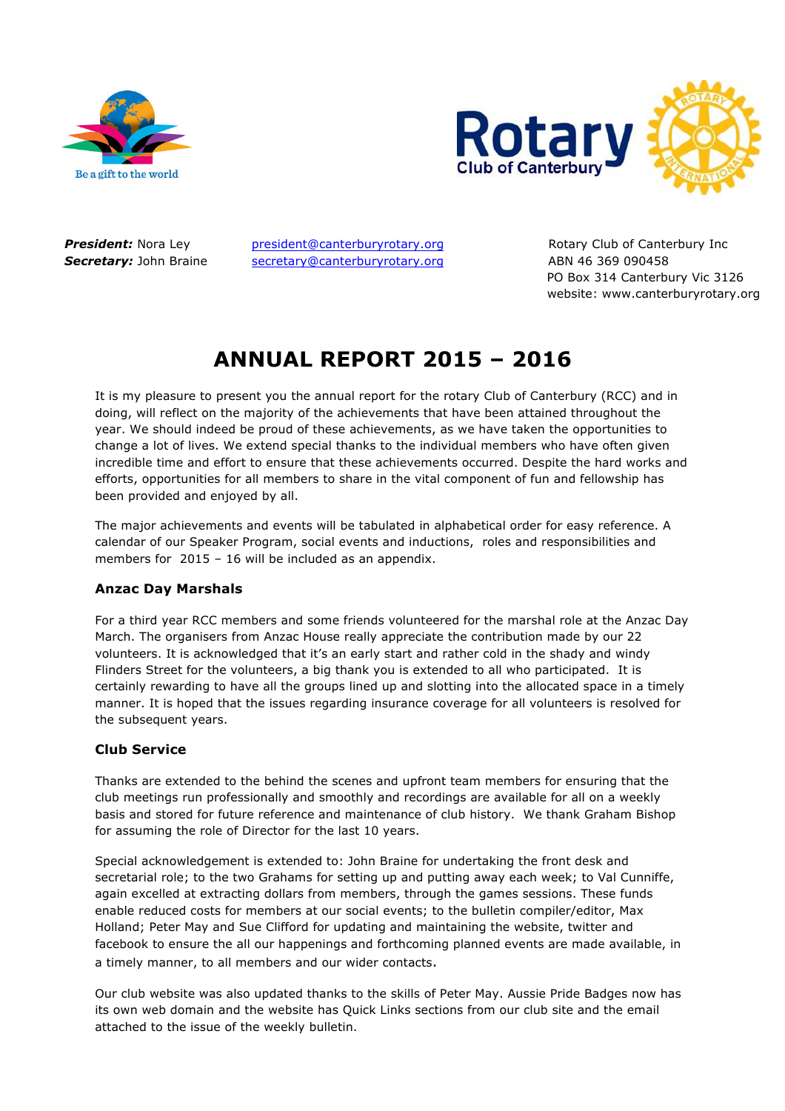



**President:** Nora Ley president@canterburyrotary.org Rotary Club of Canterbury Inc **Secretary:** John Braine secretary@canterburyrotary.org ABN 46 369 090458

 PO Box 314 Canterbury Vic 3126 website: www.canterburyrotary.org

# **ANNUAL REPORT 2015 – 2016**

It is my pleasure to present you the annual report for the rotary Club of Canterbury (RCC) and in doing, will reflect on the majority of the achievements that have been attained throughout the year. We should indeed be proud of these achievements, as we have taken the opportunities to change a lot of lives. We extend special thanks to the individual members who have often given incredible time and effort to ensure that these achievements occurred. Despite the hard works and efforts, opportunities for all members to share in the vital component of fun and fellowship has been provided and enjoyed by all.

The major achievements and events will be tabulated in alphabetical order for easy reference. A calendar of our Speaker Program, social events and inductions, roles and responsibilities and members for 2015 – 16 will be included as an appendix.

# **Anzac Day Marshals**

For a third year RCC members and some friends volunteered for the marshal role at the Anzac Day March. The organisers from Anzac House really appreciate the contribution made by our 22 volunteers. It is acknowledged that it's an early start and rather cold in the shady and windy Flinders Street for the volunteers, a big thank you is extended to all who participated. It is certainly rewarding to have all the groups lined up and slotting into the allocated space in a timely manner. It is hoped that the issues regarding insurance coverage for all volunteers is resolved for the subsequent years.

# **Club Service**

Thanks are extended to the behind the scenes and upfront team members for ensuring that the club meetings run professionally and smoothly and recordings are available for all on a weekly basis and stored for future reference and maintenance of club history. We thank Graham Bishop for assuming the role of Director for the last 10 years.

Special acknowledgement is extended to: John Braine for undertaking the front desk and secretarial role; to the two Grahams for setting up and putting away each week; to Val Cunniffe, again excelled at extracting dollars from members, through the games sessions. These funds enable reduced costs for members at our social events; to the bulletin compiler/editor, Max Holland; Peter May and Sue Clifford for updating and maintaining the website, twitter and facebook to ensure the all our happenings and forthcoming planned events are made available, in a timely manner, to all members and our wider contacts.

Our club website was also updated thanks to the skills of Peter May. Aussie Pride Badges now has its own web domain and the website has Quick Links sections from our club site and the email attached to the issue of the weekly bulletin.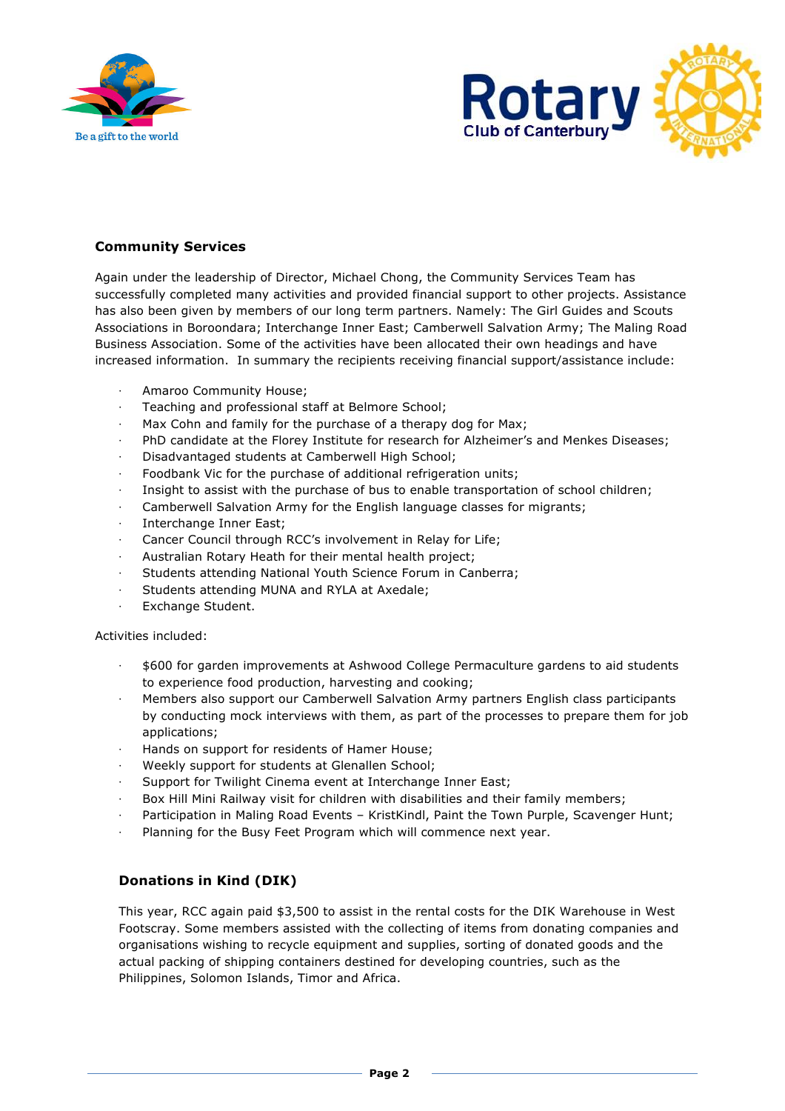



# **Community Services**

Again under the leadership of Director, Michael Chong, the Community Services Team has successfully completed many activities and provided financial support to other projects. Assistance has also been given by members of our long term partners. Namely: The Girl Guides and Scouts Associations in Boroondara; Interchange Inner East; Camberwell Salvation Army; The Maling Road Business Association. Some of the activities have been allocated their own headings and have increased information. In summary the recipients receiving financial support/assistance include:

- ⋅ Amaroo Community House;
- Teaching and professional staff at Belmore School;
- Max Cohn and family for the purchase of a therapy dog for Max;
- PhD candidate at the Florey Institute for research for Alzheimer's and Menkes Diseases;
- Disadvantaged students at Camberwell High School;
- Foodbank Vic for the purchase of additional refrigeration units;
- Insight to assist with the purchase of bus to enable transportation of school children;
- Camberwell Salvation Army for the English language classes for migrants;
- ⋅ Interchange Inner East;
- Cancer Council through RCC's involvement in Relay for Life;
- ⋅ Australian Rotary Heath for their mental health project;
- Students attending National Youth Science Forum in Canberra;
- Students attending MUNA and RYLA at Axedale;
- Exchange Student.

#### Activities included:

- ⋅ \$600 for garden improvements at Ashwood College Permaculture gardens to aid students to experience food production, harvesting and cooking;
- Members also support our Camberwell Salvation Army partners English class participants by conducting mock interviews with them, as part of the processes to prepare them for job applications;
- Hands on support for residents of Hamer House;
- Weekly support for students at Glenallen School;
- Support for Twilight Cinema event at Interchange Inner East;
- Box Hill Mini Railway visit for children with disabilities and their family members;
- Participation in Maling Road Events KristKindl, Paint the Town Purple, Scavenger Hunt;
- Planning for the Busy Feet Program which will commence next year.

# **Donations in Kind (DIK)**

This year, RCC again paid \$3,500 to assist in the rental costs for the DIK Warehouse in West Footscray. Some members assisted with the collecting of items from donating companies and organisations wishing to recycle equipment and supplies, sorting of donated goods and the actual packing of shipping containers destined for developing countries, such as the Philippines, Solomon Islands, Timor and Africa.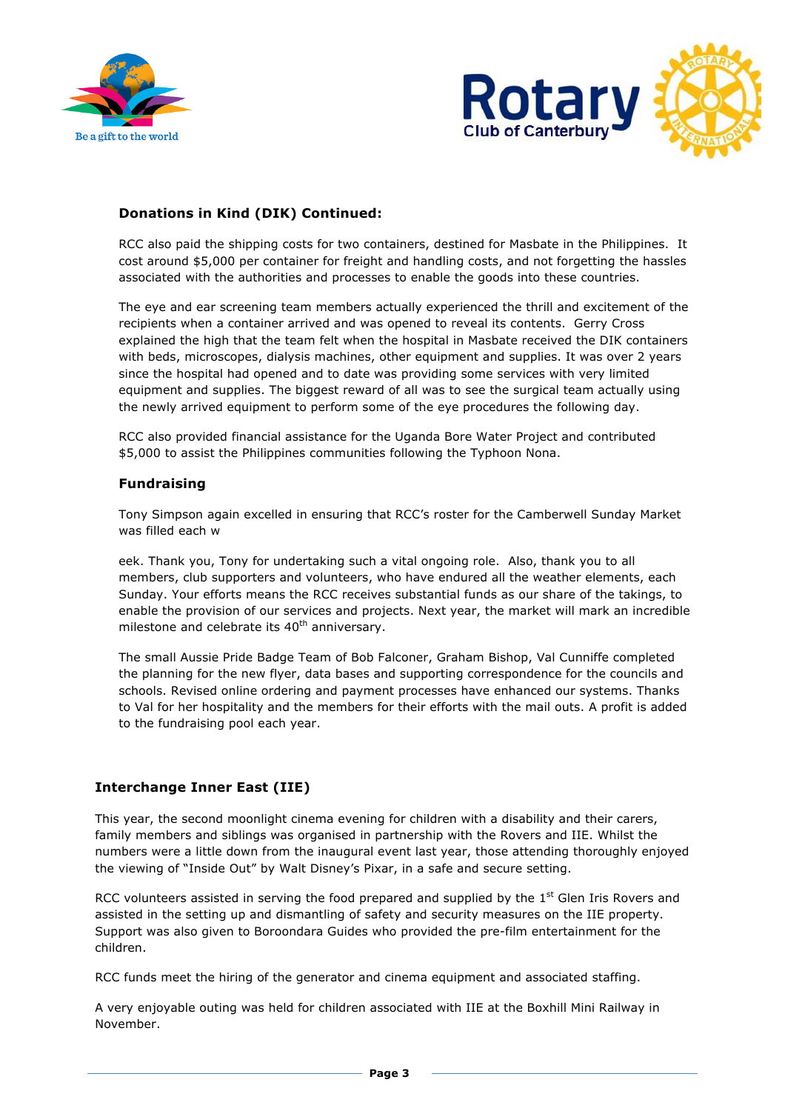



# **Donations in Kind (DIK) Continued:**

RCC also paid the shipping costs for two containers, destined for Masbate in the Philippines. It cost around \$5,000 per container for freight and handling costs, and not forgetting the hassles associated with the authorities and processes to enable the goods into these countries.

The eye and ear screening team members actually experienced the thrill and excitement of the recipients when a container arrived and was opened to reveal its contents. Gerry Cross explained the high that the team felt when the hospital in Masbate received the DIK containers with beds, microscopes, dialysis machines, other equipment and supplies. It was over 2 years since the hospital had opened and to date was providing some services with very limited equipment and supplies. The biggest reward of all was to see the surgical team actually using the newly arrived equipment to perform some of the eye procedures the following day.

RCC also provided financial assistance for the Uganda Bore Water Project and contributed \$5,000 to assist the Philippines communities following the Typhoon Nona.

## **Fundraising**

Tony Simpson again excelled in ensuring that RCC's roster for the Camberwell Sunday Market was filled each w

eek. Thank you, Tony for undertaking such a vital ongoing role. Also, thank you to all members, club supporters and volunteers, who have endured all the weather elements, each Sunday. Your efforts means the RCC receives substantial funds as our share of the takings, to enable the provision of our services and projects. Next year, the market will mark an incredible milestone and celebrate its  $40<sup>th</sup>$  anniversary.

The small Aussie Pride Badge Team of Bob Falconer, Graham Bishop, Val Cunniffe completed the planning for the new flyer, data bases and supporting correspondence for the councils and schools. Revised online ordering and payment processes have enhanced our systems. Thanks to Val for her hospitality and the members for their efforts with the mail outs. A profit is added to the fundraising pool each year.

# **Interchange Inner East (IIE)**

This year, the second moonlight cinema evening for children with a disability and their carers, family members and siblings was organised in partnership with the Rovers and IIE. Whilst the numbers were a little down from the inaugural event last year, those attending thoroughly enjoyed the viewing of "Inside Out" by Walt Disney's Pixar, in a safe and secure setting.

RCC volunteers assisted in serving the food prepared and supplied by the 1<sup>st</sup> Glen Iris Rovers and assisted in the setting up and dismantling of safety and security measures on the IIE property. Support was also given to Boroondara Guides who provided the pre-film entertainment for the children.

RCC funds meet the hiring of the generator and cinema equipment and associated staffing.

A very enjoyable outing was held for children associated with IIE at the Boxhill Mini Railway in November.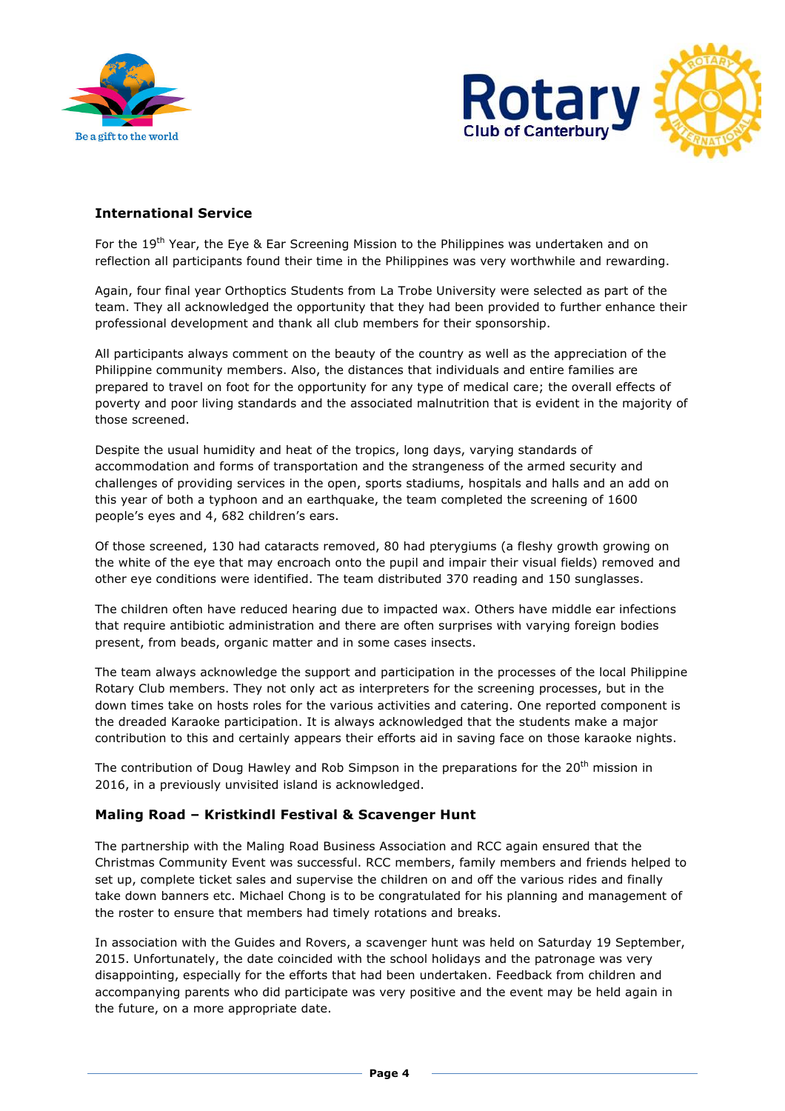



# **International Service**

For the 19<sup>th</sup> Year, the Eye & Ear Screening Mission to the Philippines was undertaken and on reflection all participants found their time in the Philippines was very worthwhile and rewarding.

Again, four final year Orthoptics Students from La Trobe University were selected as part of the team. They all acknowledged the opportunity that they had been provided to further enhance their professional development and thank all club members for their sponsorship.

All participants always comment on the beauty of the country as well as the appreciation of the Philippine community members. Also, the distances that individuals and entire families are prepared to travel on foot for the opportunity for any type of medical care; the overall effects of poverty and poor living standards and the associated malnutrition that is evident in the majority of those screened.

Despite the usual humidity and heat of the tropics, long days, varying standards of accommodation and forms of transportation and the strangeness of the armed security and challenges of providing services in the open, sports stadiums, hospitals and halls and an add on this year of both a typhoon and an earthquake, the team completed the screening of 1600 people's eyes and 4, 682 children's ears.

Of those screened, 130 had cataracts removed, 80 had pterygiums (a fleshy growth growing on the white of the eye that may encroach onto the pupil and impair their visual fields) removed and other eye conditions were identified. The team distributed 370 reading and 150 sunglasses.

The children often have reduced hearing due to impacted wax. Others have middle ear infections that require antibiotic administration and there are often surprises with varying foreign bodies present, from beads, organic matter and in some cases insects.

The team always acknowledge the support and participation in the processes of the local Philippine Rotary Club members. They not only act as interpreters for the screening processes, but in the down times take on hosts roles for the various activities and catering. One reported component is the dreaded Karaoke participation. It is always acknowledged that the students make a major contribution to this and certainly appears their efforts aid in saving face on those karaoke nights.

The contribution of Doug Hawley and Rob Simpson in the preparations for the  $20<sup>th</sup>$  mission in 2016, in a previously unvisited island is acknowledged.

### **Maling Road – Kristkindl Festival & Scavenger Hunt**

The partnership with the Maling Road Business Association and RCC again ensured that the Christmas Community Event was successful. RCC members, family members and friends helped to set up, complete ticket sales and supervise the children on and off the various rides and finally take down banners etc. Michael Chong is to be congratulated for his planning and management of the roster to ensure that members had timely rotations and breaks.

In association with the Guides and Rovers, a scavenger hunt was held on Saturday 19 September, 2015. Unfortunately, the date coincided with the school holidays and the patronage was very disappointing, especially for the efforts that had been undertaken. Feedback from children and accompanying parents who did participate was very positive and the event may be held again in the future, on a more appropriate date.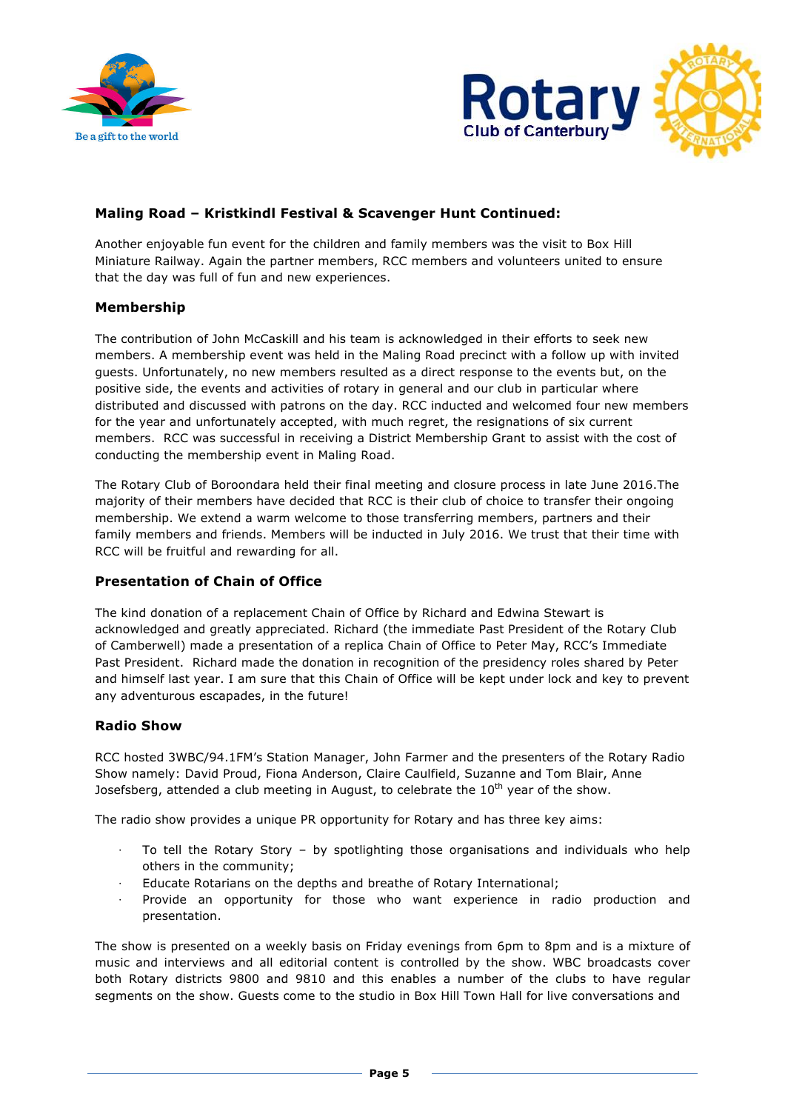



# **Maling Road – Kristkindl Festival & Scavenger Hunt Continued:**

Another enjoyable fun event for the children and family members was the visit to Box Hill Miniature Railway. Again the partner members, RCC members and volunteers united to ensure that the day was full of fun and new experiences.

### **Membership**

The contribution of John McCaskill and his team is acknowledged in their efforts to seek new members. A membership event was held in the Maling Road precinct with a follow up with invited guests. Unfortunately, no new members resulted as a direct response to the events but, on the positive side, the events and activities of rotary in general and our club in particular where distributed and discussed with patrons on the day. RCC inducted and welcomed four new members for the year and unfortunately accepted, with much regret, the resignations of six current members. RCC was successful in receiving a District Membership Grant to assist with the cost of conducting the membership event in Maling Road.

The Rotary Club of Boroondara held their final meeting and closure process in late June 2016.The majority of their members have decided that RCC is their club of choice to transfer their ongoing membership. We extend a warm welcome to those transferring members, partners and their family members and friends. Members will be inducted in July 2016. We trust that their time with RCC will be fruitful and rewarding for all.

# **Presentation of Chain of Office**

The kind donation of a replacement Chain of Office by Richard and Edwina Stewart is acknowledged and greatly appreciated. Richard (the immediate Past President of the Rotary Club of Camberwell) made a presentation of a replica Chain of Office to Peter May, RCC's Immediate Past President. Richard made the donation in recognition of the presidency roles shared by Peter and himself last year. I am sure that this Chain of Office will be kept under lock and key to prevent any adventurous escapades, in the future!

### **Radio Show**

RCC hosted 3WBC/94.1FM's Station Manager, John Farmer and the presenters of the Rotary Radio Show namely: David Proud, Fiona Anderson, Claire Caulfield, Suzanne and Tom Blair, Anne Josefsberg, attended a club meeting in August, to celebrate the  $10<sup>th</sup>$  year of the show.

The radio show provides a unique PR opportunity for Rotary and has three key aims:

- To tell the Rotary Story by spotlighting those organisations and individuals who help others in the community;
- ⋅ Educate Rotarians on the depths and breathe of Rotary International;
- Provide an opportunity for those who want experience in radio production and presentation.

The show is presented on a weekly basis on Friday evenings from 6pm to 8pm and is a mixture of music and interviews and all editorial content is controlled by the show. WBC broadcasts cover both Rotary districts 9800 and 9810 and this enables a number of the clubs to have regular segments on the show. Guests come to the studio in Box Hill Town Hall for live conversations and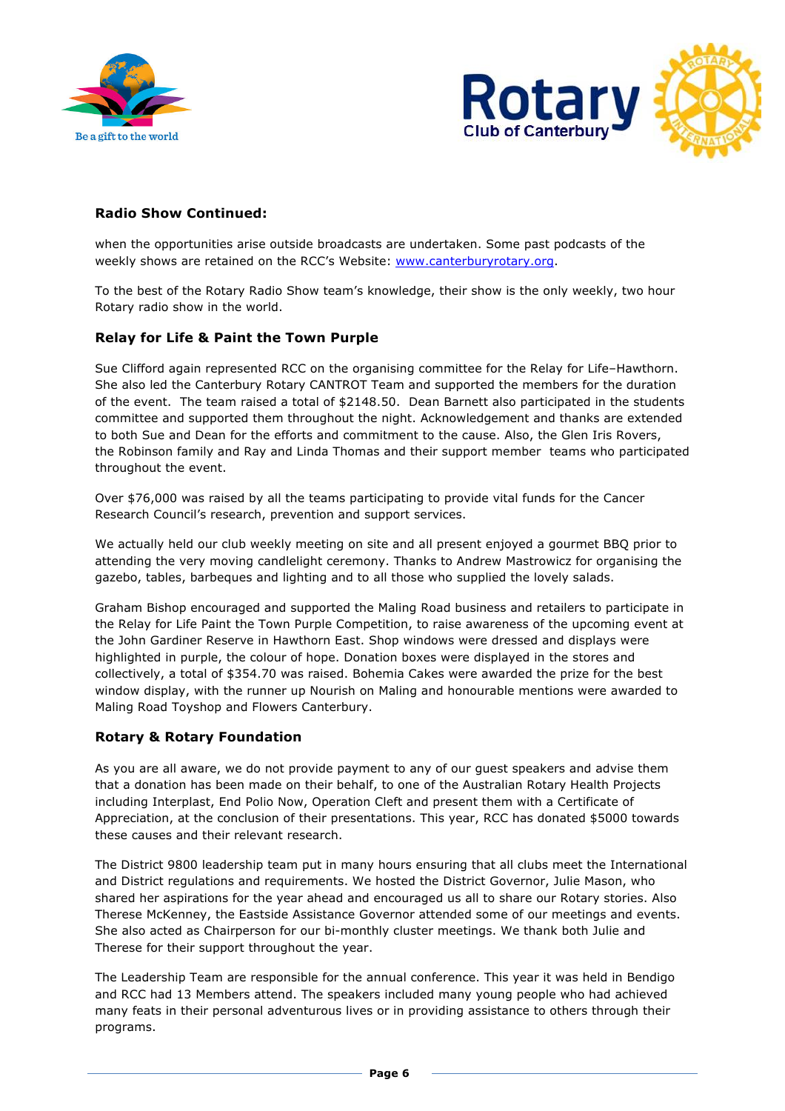



# **Radio Show Continued:**

when the opportunities arise outside broadcasts are undertaken. Some past podcasts of the weekly shows are retained on the RCC's Website: www.canterburyrotary.org.

To the best of the Rotary Radio Show team's knowledge, their show is the only weekly, two hour Rotary radio show in the world.

## **Relay for Life & Paint the Town Purple**

Sue Clifford again represented RCC on the organising committee for the Relay for Life–Hawthorn. She also led the Canterbury Rotary CANTROT Team and supported the members for the duration of the event. The team raised a total of \$2148.50. Dean Barnett also participated in the students committee and supported them throughout the night. Acknowledgement and thanks are extended to both Sue and Dean for the efforts and commitment to the cause. Also, the Glen Iris Rovers, the Robinson family and Ray and Linda Thomas and their support member teams who participated throughout the event.

Over \$76,000 was raised by all the teams participating to provide vital funds for the Cancer Research Council's research, prevention and support services.

We actually held our club weekly meeting on site and all present enjoyed a gourmet BBQ prior to attending the very moving candlelight ceremony. Thanks to Andrew Mastrowicz for organising the gazebo, tables, barbeques and lighting and to all those who supplied the lovely salads.

Graham Bishop encouraged and supported the Maling Road business and retailers to participate in the Relay for Life Paint the Town Purple Competition, to raise awareness of the upcoming event at the John Gardiner Reserve in Hawthorn East. Shop windows were dressed and displays were highlighted in purple, the colour of hope. Donation boxes were displayed in the stores and collectively, a total of \$354.70 was raised. Bohemia Cakes were awarded the prize for the best window display, with the runner up Nourish on Maling and honourable mentions were awarded to Maling Road Toyshop and Flowers Canterbury.

# **Rotary & Rotary Foundation**

As you are all aware, we do not provide payment to any of our guest speakers and advise them that a donation has been made on their behalf, to one of the Australian Rotary Health Projects including Interplast, End Polio Now, Operation Cleft and present them with a Certificate of Appreciation, at the conclusion of their presentations. This year, RCC has donated \$5000 towards these causes and their relevant research.

The District 9800 leadership team put in many hours ensuring that all clubs meet the International and District regulations and requirements. We hosted the District Governor, Julie Mason, who shared her aspirations for the year ahead and encouraged us all to share our Rotary stories. Also Therese McKenney, the Eastside Assistance Governor attended some of our meetings and events. She also acted as Chairperson for our bi-monthly cluster meetings. We thank both Julie and Therese for their support throughout the year.

The Leadership Team are responsible for the annual conference. This year it was held in Bendigo and RCC had 13 Members attend. The speakers included many young people who had achieved many feats in their personal adventurous lives or in providing assistance to others through their programs.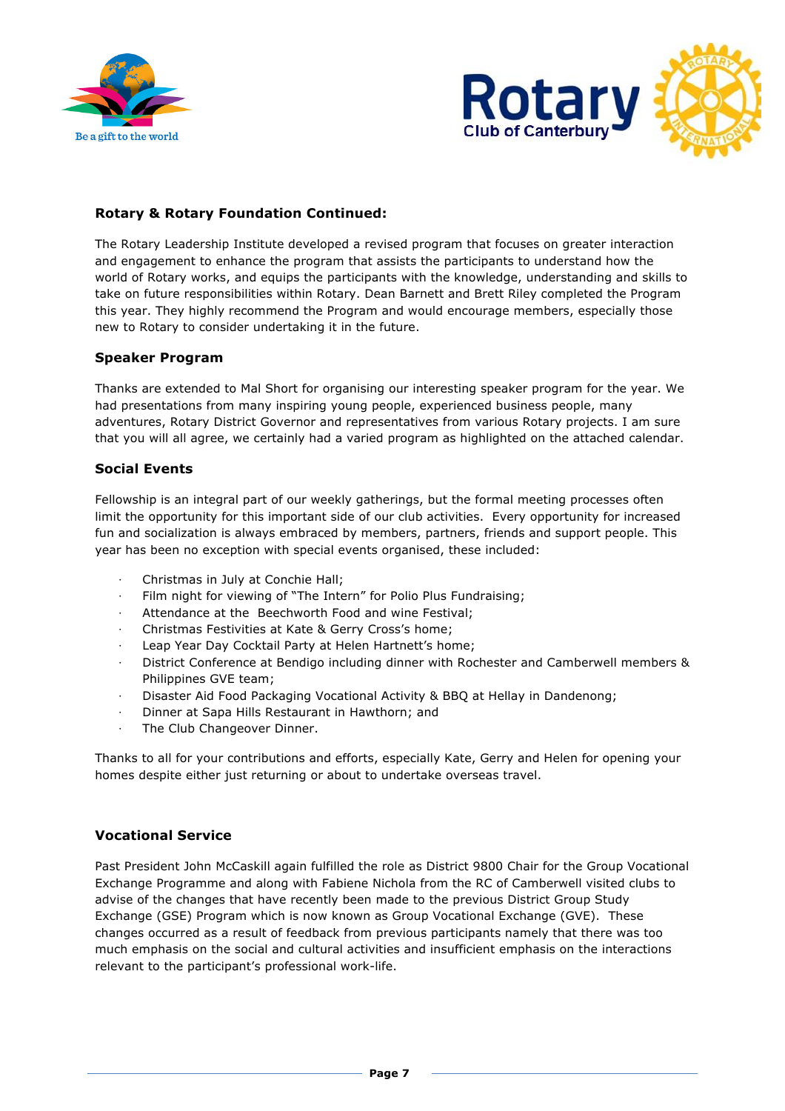



# **Rotary & Rotary Foundation Continued:**

The Rotary Leadership Institute developed a revised program that focuses on greater interaction and engagement to enhance the program that assists the participants to understand how the world of Rotary works, and equips the participants with the knowledge, understanding and skills to take on future responsibilities within Rotary. Dean Barnett and Brett Riley completed the Program this year. They highly recommend the Program and would encourage members, especially those new to Rotary to consider undertaking it in the future.

## **Speaker Program**

Thanks are extended to Mal Short for organising our interesting speaker program for the year. We had presentations from many inspiring young people, experienced business people, many adventures, Rotary District Governor and representatives from various Rotary projects. I am sure that you will all agree, we certainly had a varied program as highlighted on the attached calendar.

## **Social Events**

Fellowship is an integral part of our weekly gatherings, but the formal meeting processes often limit the opportunity for this important side of our club activities. Every opportunity for increased fun and socialization is always embraced by members, partners, friends and support people. This year has been no exception with special events organised, these included:

- ⋅ Christmas in July at Conchie Hall;
- Film night for viewing of "The Intern" for Polio Plus Fundraising;
- Attendance at the Beechworth Food and wine Festival;
- ⋅ Christmas Festivities at Kate & Gerry Cross's home;
- Leap Year Day Cocktail Party at Helen Hartnett's home;
- District Conference at Bendigo including dinner with Rochester and Camberwell members & Philippines GVE team;
- Disaster Aid Food Packaging Vocational Activity & BBQ at Hellay in Dandenong;
- ⋅ Dinner at Sapa Hills Restaurant in Hawthorn; and
- The Club Changeover Dinner.

Thanks to all for your contributions and efforts, especially Kate, Gerry and Helen for opening your homes despite either just returning or about to undertake overseas travel.

## **Vocational Service**

Past President John McCaskill again fulfilled the role as District 9800 Chair for the Group Vocational Exchange Programme and along with Fabiene Nichola from the RC of Camberwell visited clubs to advise of the changes that have recently been made to the previous District Group Study Exchange (GSE) Program which is now known as Group Vocational Exchange (GVE). These changes occurred as a result of feedback from previous participants namely that there was too much emphasis on the social and cultural activities and insufficient emphasis on the interactions relevant to the participant's professional work-life.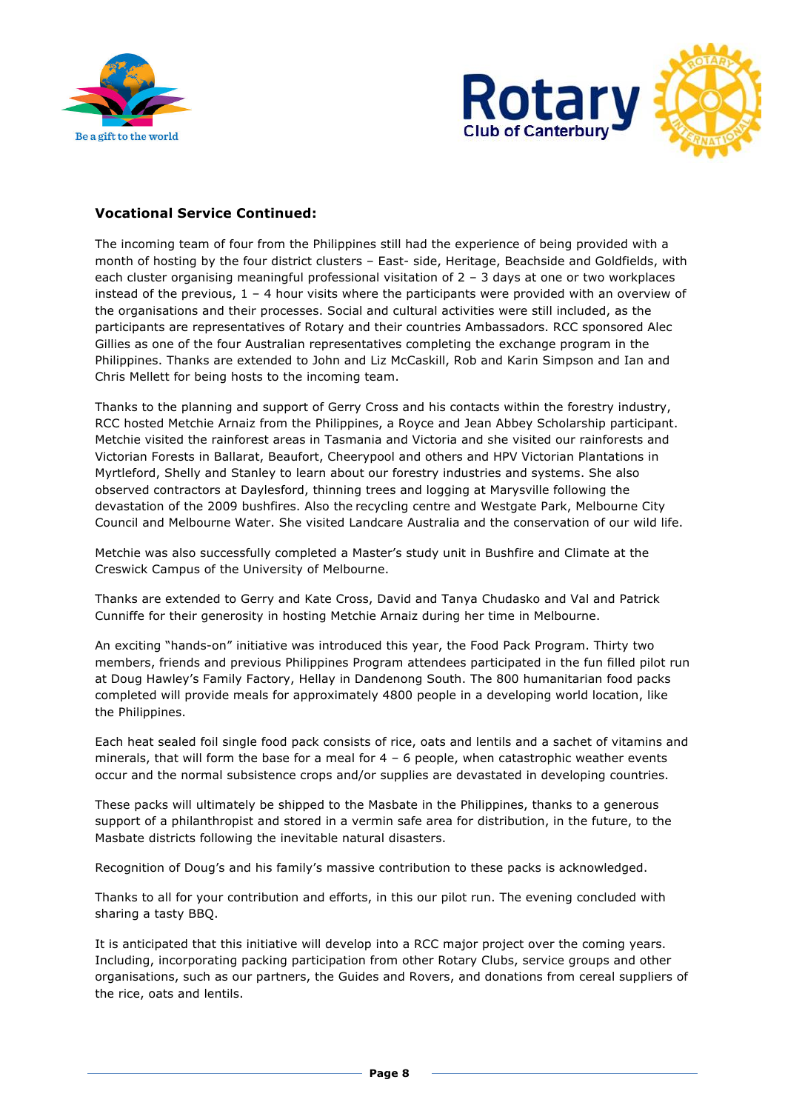



## **Vocational Service Continued:**

The incoming team of four from the Philippines still had the experience of being provided with a month of hosting by the four district clusters – East- side, Heritage, Beachside and Goldfields, with each cluster organising meaningful professional visitation of 2 – 3 days at one or two workplaces instead of the previous,  $1 - 4$  hour visits where the participants were provided with an overview of the organisations and their processes. Social and cultural activities were still included, as the participants are representatives of Rotary and their countries Ambassadors. RCC sponsored Alec Gillies as one of the four Australian representatives completing the exchange program in the Philippines. Thanks are extended to John and Liz McCaskill, Rob and Karin Simpson and Ian and Chris Mellett for being hosts to the incoming team.

Thanks to the planning and support of Gerry Cross and his contacts within the forestry industry, RCC hosted Metchie Arnaiz from the Philippines, a Royce and Jean Abbey Scholarship participant. Metchie visited the rainforest areas in Tasmania and Victoria and she visited our rainforests and Victorian Forests in Ballarat, Beaufort, Cheerypool and others and HPV Victorian Plantations in Myrtleford, Shelly and Stanley to learn about our forestry industries and systems. She also observed contractors at Daylesford, thinning trees and logging at Marysville following the devastation of the 2009 bushfires. Also the recycling centre and Westgate Park, Melbourne City Council and Melbourne Water. She visited Landcare Australia and the conservation of our wild life.

Metchie was also successfully completed a Master's study unit in Bushfire and Climate at the Creswick Campus of the University of Melbourne.

Thanks are extended to Gerry and Kate Cross, David and Tanya Chudasko and Val and Patrick Cunniffe for their generosity in hosting Metchie Arnaiz during her time in Melbourne.

An exciting "hands-on" initiative was introduced this year, the Food Pack Program. Thirty two members, friends and previous Philippines Program attendees participated in the fun filled pilot run at Doug Hawley's Family Factory, Hellay in Dandenong South. The 800 humanitarian food packs completed will provide meals for approximately 4800 people in a developing world location, like the Philippines.

Each heat sealed foil single food pack consists of rice, oats and lentils and a sachet of vitamins and minerals, that will form the base for a meal for  $4 - 6$  people, when catastrophic weather events occur and the normal subsistence crops and/or supplies are devastated in developing countries.

These packs will ultimately be shipped to the Masbate in the Philippines, thanks to a generous support of a philanthropist and stored in a vermin safe area for distribution, in the future, to the Masbate districts following the inevitable natural disasters.

Recognition of Doug's and his family's massive contribution to these packs is acknowledged.

Thanks to all for your contribution and efforts, in this our pilot run. The evening concluded with sharing a tasty BBQ.

It is anticipated that this initiative will develop into a RCC major project over the coming years. Including, incorporating packing participation from other Rotary Clubs, service groups and other organisations, such as our partners, the Guides and Rovers, and donations from cereal suppliers of the rice, oats and lentils.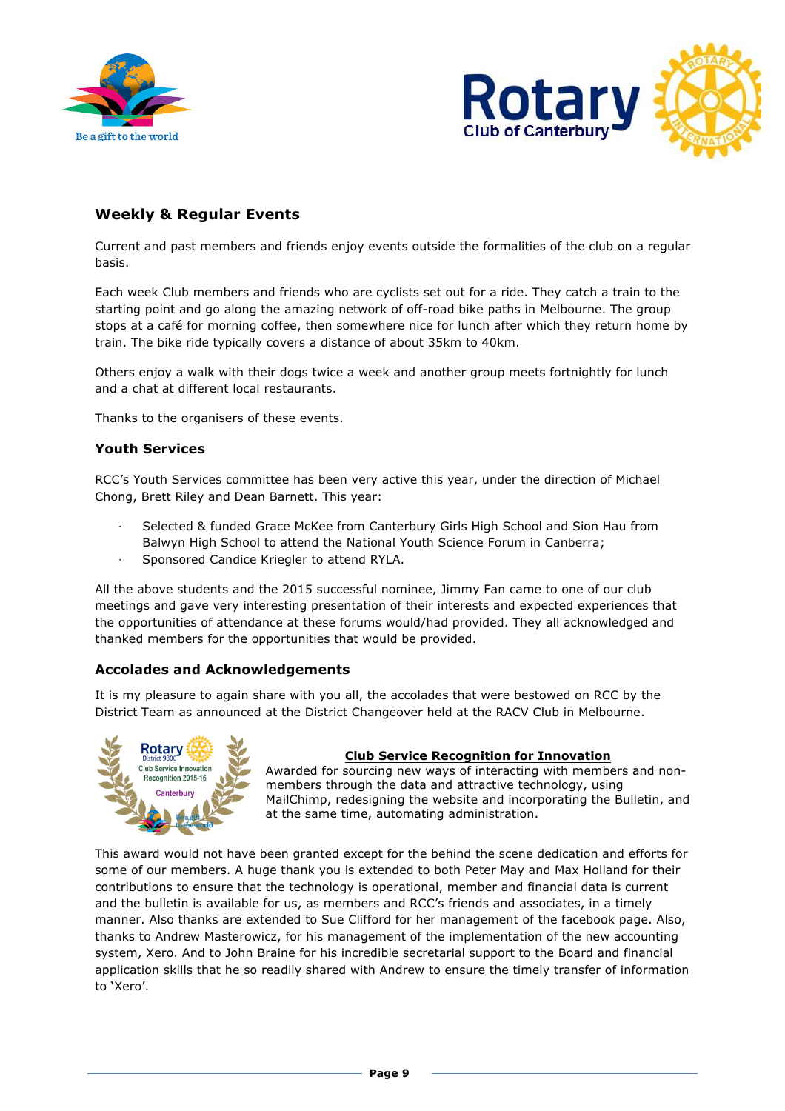



# **Weekly & Regular Events**

Current and past members and friends enjoy events outside the formalities of the club on a regular basis.

Each week Club members and friends who are cyclists set out for a ride. They catch a train to the starting point and go along the amazing network of off-road bike paths in Melbourne. The group stops at a café for morning coffee, then somewhere nice for lunch after which they return home by train. The bike ride typically covers a distance of about 35km to 40km.

Others enjoy a walk with their dogs twice a week and another group meets fortnightly for lunch and a chat at different local restaurants.

Thanks to the organisers of these events.

## **Youth Services**

RCC's Youth Services committee has been very active this year, under the direction of Michael Chong, Brett Riley and Dean Barnett. This year:

- Selected & funded Grace McKee from Canterbury Girls High School and Sion Hau from Balwyn High School to attend the National Youth Science Forum in Canberra;
- Sponsored Candice Kriegler to attend RYLA.

All the above students and the 2015 successful nominee, Jimmy Fan came to one of our club meetings and gave very interesting presentation of their interests and expected experiences that the opportunities of attendance at these forums would/had provided. They all acknowledged and thanked members for the opportunities that would be provided.

# **Accolades and Acknowledgements**

It is my pleasure to again share with you all, the accolades that were bestowed on RCC by the District Team as announced at the District Changeover held at the RACV Club in Melbourne.



### **Club Service Recognition for Innovation**

Awarded for sourcing new ways of interacting with members and nonmembers through the data and attractive technology, using MailChimp, redesigning the website and incorporating the Bulletin, and at the same time, automating administration.

This award would not have been granted except for the behind the scene dedication and efforts for some of our members. A huge thank you is extended to both Peter May and Max Holland for their contributions to ensure that the technology is operational, member and financial data is current and the bulletin is available for us, as members and RCC's friends and associates, in a timely manner. Also thanks are extended to Sue Clifford for her management of the facebook page. Also, thanks to Andrew Masterowicz, for his management of the implementation of the new accounting system, Xero. And to John Braine for his incredible secretarial support to the Board and financial application skills that he so readily shared with Andrew to ensure the timely transfer of information to 'Xero'.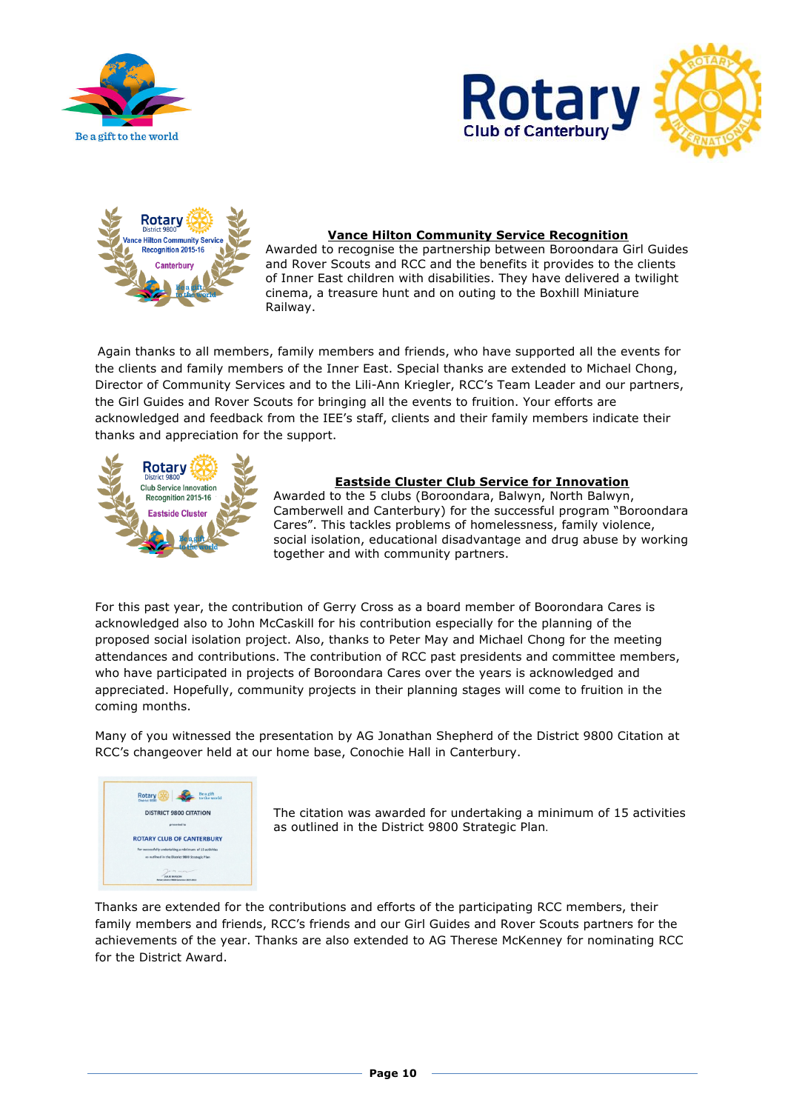





## **Vance Hilton Community Service Recognition**

Awarded to recognise the partnership between Boroondara Girl Guides and Rover Scouts and RCC and the benefits it provides to the clients of Inner East children with disabilities. They have delivered a twilight cinema, a treasure hunt and on outing to the Boxhill Miniature Railway.

Again thanks to all members, family members and friends, who have supported all the events for the clients and family members of the Inner East. Special thanks are extended to Michael Chong, Director of Community Services and to the Lili-Ann Kriegler, RCC's Team Leader and our partners, the Girl Guides and Rover Scouts for bringing all the events to fruition. Your efforts are acknowledged and feedback from the IEE's staff, clients and their family members indicate their thanks and appreciation for the support.



### **Eastside Cluster Club Service for Innovation**

Awarded to the 5 clubs (Boroondara, Balwyn, North Balwyn, Camberwell and Canterbury) for the successful program "Boroondara Cares". This tackles problems of homelessness, family violence, social isolation, educational disadvantage and drug abuse by working together and with community partners.

For this past year, the contribution of Gerry Cross as a board member of Boorondara Cares is acknowledged also to John McCaskill for his contribution especially for the planning of the proposed social isolation project. Also, thanks to Peter May and Michael Chong for the meeting attendances and contributions. The contribution of RCC past presidents and committee members, who have participated in projects of Boroondara Cares over the years is acknowledged and appreciated. Hopefully, community projects in their planning stages will come to fruition in the coming months.

Many of you witnessed the presentation by AG Jonathan Shepherd of the District 9800 Citation at RCC's changeover held at our home base, Conochie Hall in Canterbury.



The citation was awarded for undertaking a minimum of 15 activities as outlined in the District 9800 Strategic Plan.

Thanks are extended for the contributions and efforts of the participating RCC members, their family members and friends, RCC's friends and our Girl Guides and Rover Scouts partners for the achievements of the year. Thanks are also extended to AG Therese McKenney for nominating RCC for the District Award.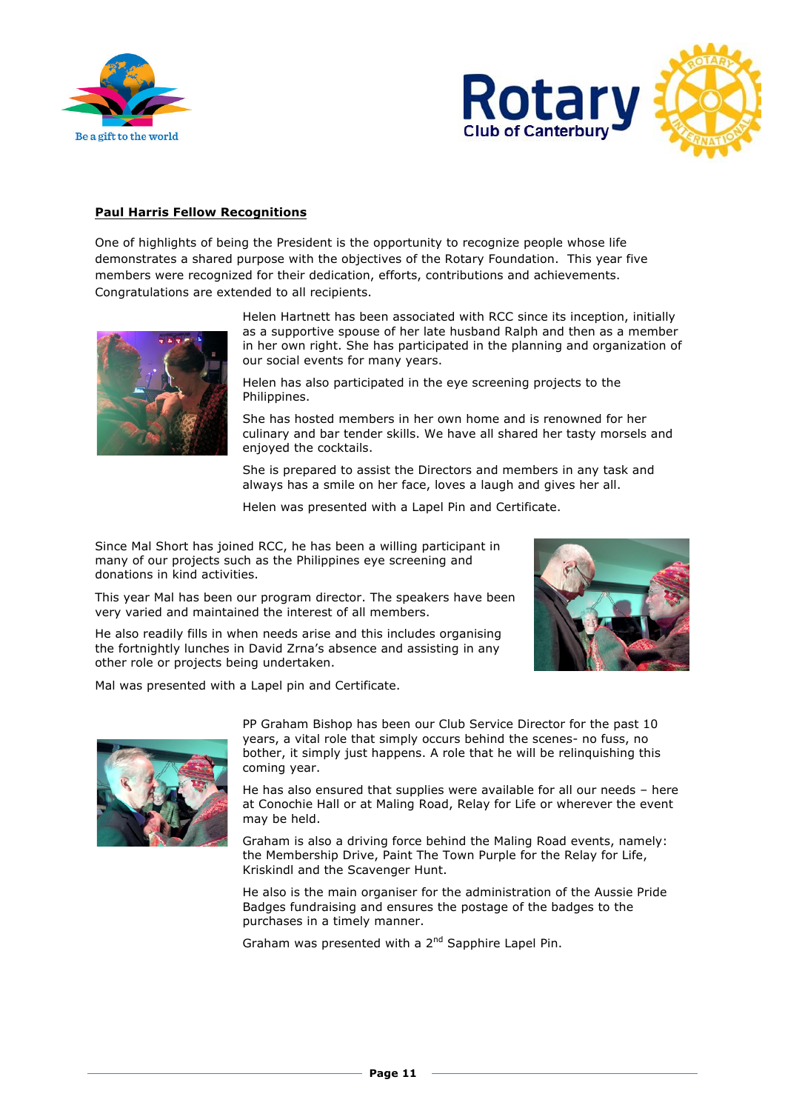



### **Paul Harris Fellow Recognitions**

One of highlights of being the President is the opportunity to recognize people whose life demonstrates a shared purpose with the objectives of the Rotary Foundation. This year five members were recognized for their dedication, efforts, contributions and achievements. Congratulations are extended to all recipients.



Helen Hartnett has been associated with RCC since its inception, initially as a supportive spouse of her late husband Ralph and then as a member in her own right. She has participated in the planning and organization of our social events for many years.

Helen has also participated in the eye screening projects to the Philippines.

She has hosted members in her own home and is renowned for her culinary and bar tender skills. We have all shared her tasty morsels and enjoyed the cocktails.

She is prepared to assist the Directors and members in any task and always has a smile on her face, loves a laugh and gives her all.

Helen was presented with a Lapel Pin and Certificate.

Since Mal Short has joined RCC, he has been a willing participant in many of our projects such as the Philippines eye screening and donations in kind activities.

This year Mal has been our program director. The speakers have been very varied and maintained the interest of all members.

He also readily fills in when needs arise and this includes organising the fortnightly lunches in David Zrna's absence and assisting in any other role or projects being undertaken.

Mal was presented with a Lapel pin and Certificate.



PP Graham Bishop has been our Club Service Director for the past 10 years, a vital role that simply occurs behind the scenes- no fuss, no bother, it simply just happens. A role that he will be relinquishing this coming year.

He has also ensured that supplies were available for all our needs – here at Conochie Hall or at Maling Road, Relay for Life or wherever the event may be held.

Graham is also a driving force behind the Maling Road events, namely: the Membership Drive, Paint The Town Purple for the Relay for Life, Kriskindl and the Scavenger Hunt.

He also is the main organiser for the administration of the Aussie Pride Badges fundraising and ensures the postage of the badges to the purchases in a timely manner.

Graham was presented with a 2<sup>nd</sup> Sapphire Lapel Pin.

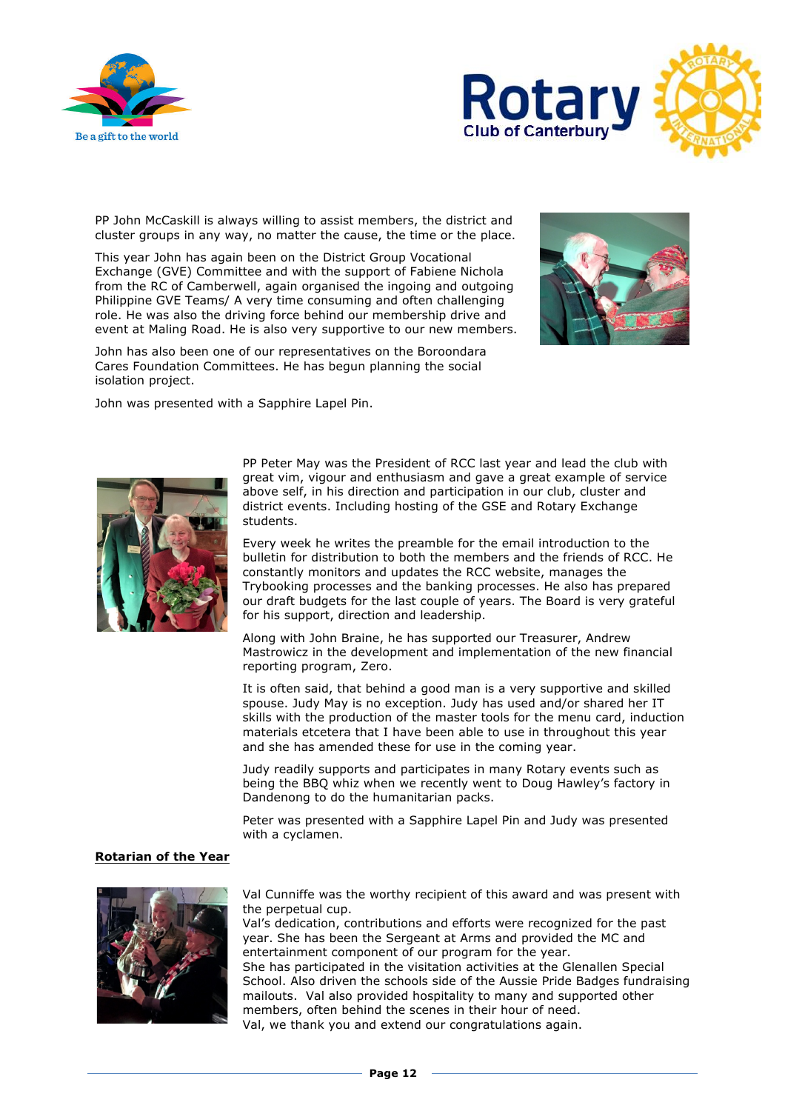



PP John McCaskill is always willing to assist members, the district and cluster groups in any way, no matter the cause, the time or the place.

This year John has again been on the District Group Vocational Exchange (GVE) Committee and with the support of Fabiene Nichola from the RC of Camberwell, again organised the ingoing and outgoing Philippine GVE Teams/ A very time consuming and often challenging role. He was also the driving force behind our membership drive and event at Maling Road. He is also very supportive to our new members.



John has also been one of our representatives on the Boroondara Cares Foundation Committees. He has begun planning the social isolation project.

John was presented with a Sapphire Lapel Pin.



PP Peter May was the President of RCC last year and lead the club with great vim, vigour and enthusiasm and gave a great example of service above self, in his direction and participation in our club, cluster and district events. Including hosting of the GSE and Rotary Exchange students.

Every week he writes the preamble for the email introduction to the bulletin for distribution to both the members and the friends of RCC. He constantly monitors and updates the RCC website, manages the Trybooking processes and the banking processes. He also has prepared our draft budgets for the last couple of years. The Board is very grateful for his support, direction and leadership.

Along with John Braine, he has supported our Treasurer, Andrew Mastrowicz in the development and implementation of the new financial reporting program, Zero.

It is often said, that behind a good man is a very supportive and skilled spouse. Judy May is no exception. Judy has used and/or shared her IT skills with the production of the master tools for the menu card, induction materials etcetera that I have been able to use in throughout this year and she has amended these for use in the coming year.

Judy readily supports and participates in many Rotary events such as being the BBQ whiz when we recently went to Doug Hawley's factory in Dandenong to do the humanitarian packs.

Peter was presented with a Sapphire Lapel Pin and Judy was presented with a cyclamen.

#### **Rotarian of the Year**



Val Cunniffe was the worthy recipient of this award and was present with the perpetual cup.

Val's dedication, contributions and efforts were recognized for the past year. She has been the Sergeant at Arms and provided the MC and entertainment component of our program for the year.

She has participated in the visitation activities at the Glenallen Special School. Also driven the schools side of the Aussie Pride Badges fundraising mailouts. Val also provided hospitality to many and supported other members, often behind the scenes in their hour of need. Val, we thank you and extend our congratulations again.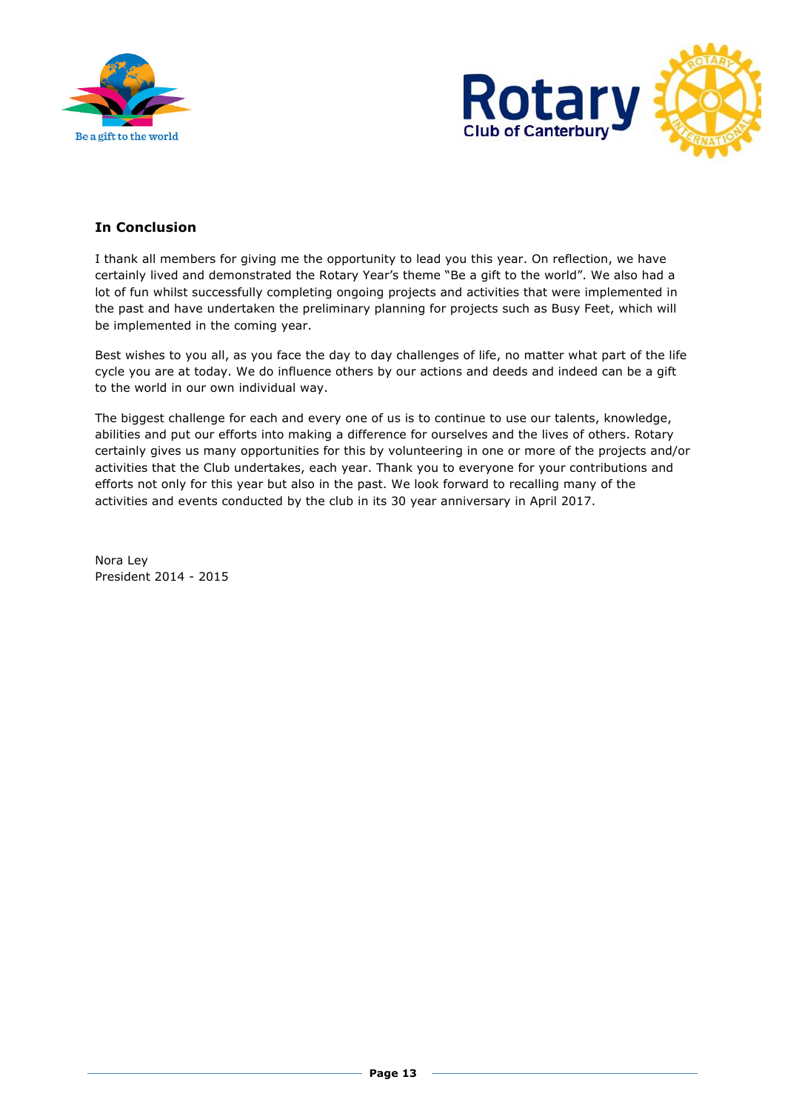



# **In Conclusion**

I thank all members for giving me the opportunity to lead you this year. On reflection, we have certainly lived and demonstrated the Rotary Year's theme "Be a gift to the world". We also had a lot of fun whilst successfully completing ongoing projects and activities that were implemented in the past and have undertaken the preliminary planning for projects such as Busy Feet, which will be implemented in the coming year.

Best wishes to you all, as you face the day to day challenges of life, no matter what part of the life cycle you are at today. We do influence others by our actions and deeds and indeed can be a gift to the world in our own individual way.

The biggest challenge for each and every one of us is to continue to use our talents, knowledge, abilities and put our efforts into making a difference for ourselves and the lives of others. Rotary certainly gives us many opportunities for this by volunteering in one or more of the projects and/or activities that the Club undertakes, each year. Thank you to everyone for your contributions and efforts not only for this year but also in the past. We look forward to recalling many of the activities and events conducted by the club in its 30 year anniversary in April 2017.

Nora Ley President 2014 - 2015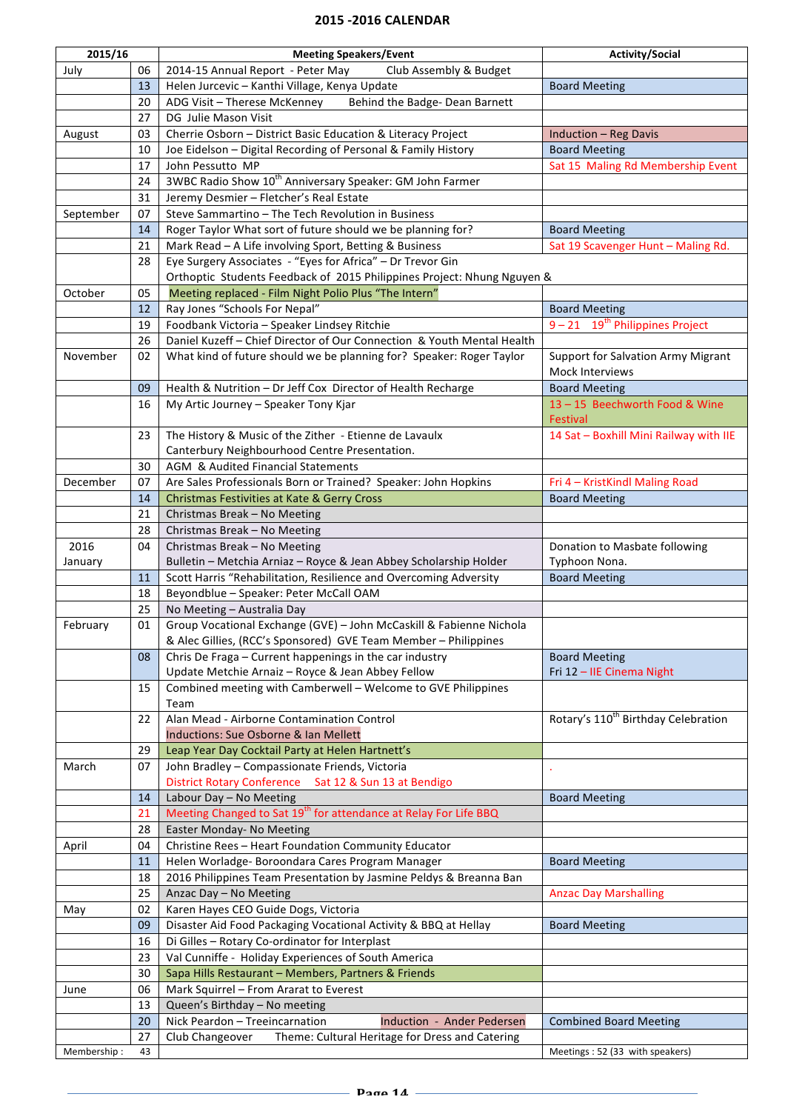#### **2015 - 2016 CALENDAR**

| 2015/16     |    | <b>Meeting Speakers/Event</b>                                                                     | <b>Activity/Social</b>                          |
|-------------|----|---------------------------------------------------------------------------------------------------|-------------------------------------------------|
| July        | 06 | 2014-15 Annual Report - Peter May<br>Club Assembly & Budget                                       |                                                 |
|             | 13 | Helen Jurcevic - Kanthi Village, Kenya Update                                                     | <b>Board Meeting</b>                            |
|             | 20 | ADG Visit - Therese McKenney<br>Behind the Badge- Dean Barnett                                    |                                                 |
|             | 27 | DG Julie Mason Visit                                                                              |                                                 |
| August      | 03 | Cherrie Osborn - District Basic Education & Literacy Project                                      | <b>Induction - Reg Davis</b>                    |
|             | 10 | Joe Eidelson - Digital Recording of Personal & Family History                                     | <b>Board Meeting</b>                            |
|             | 17 | John Pessutto MP                                                                                  |                                                 |
|             | 24 | 3WBC Radio Show 10 <sup>th</sup> Anniversary Speaker: GM John Farmer                              | Sat 15 Maling Rd Membership Event               |
|             |    |                                                                                                   |                                                 |
|             | 31 | Jeremy Desmier - Fletcher's Real Estate                                                           |                                                 |
| September   | 07 | Steve Sammartino - The Tech Revolution in Business                                                |                                                 |
|             | 14 | Roger Taylor What sort of future should we be planning for?                                       | <b>Board Meeting</b>                            |
|             | 21 | Mark Read - A Life involving Sport, Betting & Business                                            | Sat 19 Scavenger Hunt - Maling Rd.              |
|             | 28 | Eye Surgery Associates - "Eyes for Africa" - Dr Trevor Gin                                        |                                                 |
|             |    | Orthoptic Students Feedback of 2015 Philippines Project: Nhung Nguyen &                           |                                                 |
| October     | 05 | Meeting replaced - Film Night Polio Plus "The Intern"                                             |                                                 |
|             | 12 | Ray Jones "Schools For Nepal"                                                                     | <b>Board Meeting</b>                            |
|             | 19 | Foodbank Victoria - Speaker Lindsey Ritchie                                                       | $9 - 21$ 19 <sup>th</sup> Philippines Project   |
|             | 26 | Daniel Kuzeff - Chief Director of Our Connection & Youth Mental Health                            |                                                 |
| November    | 02 | What kind of future should we be planning for? Speaker: Roger Taylor                              | <b>Support for Salvation Army Migrant</b>       |
|             |    |                                                                                                   | Mock Interviews                                 |
|             | 09 | Health & Nutrition - Dr Jeff Cox Director of Health Recharge                                      | <b>Board Meeting</b>                            |
|             | 16 | My Artic Journey - Speaker Tony Kjar                                                              | 13-15 Beechworth Food & Wine                    |
|             |    |                                                                                                   | Festival                                        |
|             | 23 | The History & Music of the Zither - Etienne de Lavaulx                                            | 14 Sat - Boxhill Mini Railway with IIE          |
|             |    | Canterbury Neighbourhood Centre Presentation.                                                     |                                                 |
|             | 30 | AGM & Audited Financial Statements                                                                |                                                 |
| December    | 07 | Are Sales Professionals Born or Trained? Speaker: John Hopkins                                    | Fri 4 - KristKindl Maling Road                  |
|             | 14 | Christmas Festivities at Kate & Gerry Cross                                                       | <b>Board Meeting</b>                            |
|             | 21 | Christmas Break - No Meeting                                                                      |                                                 |
|             | 28 | Christmas Break - No Meeting                                                                      |                                                 |
|             | 04 |                                                                                                   |                                                 |
| 2016        |    | Christmas Break - No Meeting<br>Bulletin - Metchia Arniaz - Royce & Jean Abbey Scholarship Holder | Donation to Masbate following                   |
| January     |    |                                                                                                   | Typhoon Nona.                                   |
|             | 11 | Scott Harris "Rehabilitation, Resilience and Overcoming Adversity                                 | <b>Board Meeting</b>                            |
|             | 18 | Beyondblue - Speaker: Peter McCall OAM                                                            |                                                 |
|             | 25 | No Meeting - Australia Day                                                                        |                                                 |
| February    | 01 | Group Vocational Exchange (GVE) - John McCaskill & Fabienne Nichola                               |                                                 |
|             |    | & Alec Gillies, (RCC's Sponsored) GVE Team Member - Philippines                                   |                                                 |
|             | 08 | Chris De Fraga - Current happenings in the car industry                                           | <b>Board Meeting</b>                            |
|             |    | Update Metchie Arnaiz - Royce & Jean Abbey Fellow                                                 | Fri 12 - IIE Cinema Night                       |
|             | 15 | Combined meeting with Camberwell - Welcome to GVE Philippines                                     |                                                 |
|             |    | Team                                                                                              |                                                 |
|             | 22 | Alan Mead - Airborne Contamination Control                                                        | Rotary's 110 <sup>th</sup> Birthday Celebration |
|             |    | Inductions: Sue Osborne & Ian Mellett                                                             |                                                 |
|             | 29 | Leap Year Day Cocktail Party at Helen Hartnett's                                                  |                                                 |
| March       | 07 | John Bradley - Compassionate Friends, Victoria                                                    |                                                 |
|             |    | District Rotary Conference Sat 12 & Sun 13 at Bendigo                                             |                                                 |
|             | 14 | Labour Day - No Meeting                                                                           | <b>Board Meeting</b>                            |
|             | 21 | Meeting Changed to Sat 19 <sup>th</sup> for attendance at Relay For Life BBQ                      |                                                 |
|             | 28 | Easter Monday- No Meeting                                                                         |                                                 |
| April       | 04 | Christine Rees - Heart Foundation Community Educator                                              |                                                 |
|             | 11 | Helen Worladge- Boroondara Cares Program Manager                                                  | <b>Board Meeting</b>                            |
|             | 18 | 2016 Philippines Team Presentation by Jasmine Peldys & Breanna Ban                                |                                                 |
|             | 25 | Anzac Day - No Meeting                                                                            | <b>Anzac Day Marshalling</b>                    |
| May         | 02 | Karen Hayes CEO Guide Dogs, Victoria                                                              |                                                 |
|             | 09 | Disaster Aid Food Packaging Vocational Activity & BBQ at Hellay                                   | <b>Board Meeting</b>                            |
|             | 16 | Di Gilles - Rotary Co-ordinator for Interplast                                                    |                                                 |
|             | 23 | Val Cunniffe - Holiday Experiences of South America                                               |                                                 |
|             | 30 | Sapa Hills Restaurant - Members, Partners & Friends                                               |                                                 |
| June        | 06 | Mark Squirrel - From Ararat to Everest                                                            |                                                 |
|             | 13 | Queen's Birthday - No meeting                                                                     |                                                 |
|             | 20 | Nick Peardon - Treeincarnation<br>Induction - Ander Pedersen                                      | <b>Combined Board Meeting</b>                   |
|             | 27 | Club Changeover<br>Theme: Cultural Heritage for Dress and Catering                                |                                                 |
| Membership: | 43 |                                                                                                   | Meetings: 52 (33 with speakers)                 |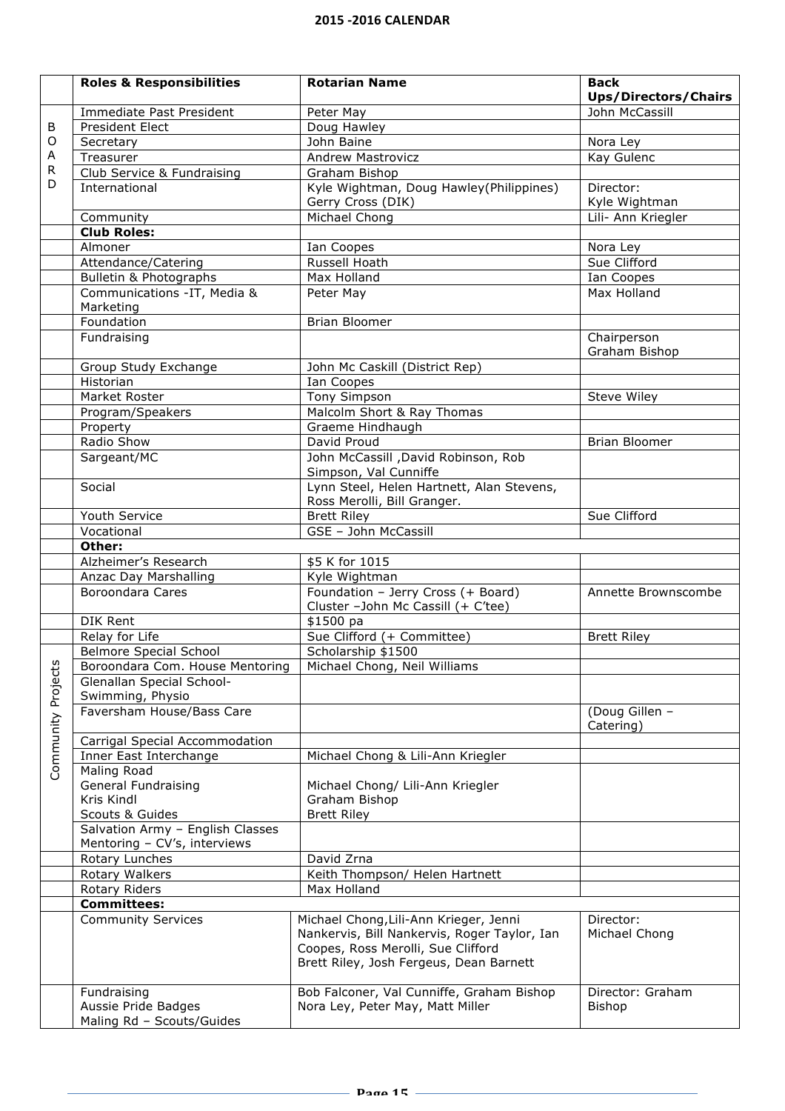|                    | <b>Roles &amp; Responsibilities</b>                            | <b>Rotarian Name</b>                              | <b>Back</b>                         |
|--------------------|----------------------------------------------------------------|---------------------------------------------------|-------------------------------------|
|                    |                                                                |                                                   | <b>Ups/Directors/Chairs</b>         |
|                    | Immediate Past President                                       | Peter May                                         | John McCassill                      |
| B                  | President Elect                                                | Doug Hawley                                       |                                     |
| O                  | Secretary                                                      | John Baine                                        | Nora Ley                            |
| Α<br>R             | Treasurer                                                      | <b>Andrew Mastrovicz</b>                          | Kay Gulenc                          |
| D                  | Club Service & Fundraising                                     | Graham Bishop                                     |                                     |
|                    | International                                                  | Kyle Wightman, Doug Hawley(Philippines)           | Director:                           |
|                    |                                                                | Gerry Cross (DIK)<br>Michael Chong                | Kyle Wightman<br>Lili- Ann Kriegler |
|                    | Community<br><b>Club Roles:</b>                                |                                                   |                                     |
|                    | Almoner                                                        | Ian Coopes                                        | Nora Ley                            |
|                    | Attendance/Catering                                            | Russell Hoath                                     | Sue Clifford                        |
|                    | Bulletin & Photographs                                         | Max Holland                                       | Ian Coopes                          |
|                    | Communications -IT, Media &                                    | Peter May                                         | Max Holland                         |
|                    | Marketing                                                      |                                                   |                                     |
|                    | Foundation                                                     | <b>Brian Bloomer</b>                              |                                     |
|                    | Fundraising                                                    |                                                   | Chairperson                         |
|                    |                                                                |                                                   | Graham Bishop                       |
|                    | Group Study Exchange                                           | John Mc Caskill (District Rep)                    |                                     |
|                    | Historian                                                      | Ian Coopes                                        |                                     |
|                    | Market Roster                                                  | <b>Tony Simpson</b>                               | <b>Steve Wiley</b>                  |
|                    | Program/Speakers                                               | Malcolm Short & Ray Thomas                        |                                     |
|                    | Property                                                       | Graeme Hindhaugh                                  |                                     |
|                    | Radio Show                                                     | David Proud                                       | <b>Brian Bloomer</b>                |
|                    | Sargeant/MC                                                    | John McCassill , David Robinson, Rob              |                                     |
|                    |                                                                | Simpson, Val Cunniffe                             |                                     |
|                    | Social                                                         | Lynn Steel, Helen Hartnett, Alan Stevens,         |                                     |
|                    |                                                                | Ross Merolli, Bill Granger.                       |                                     |
|                    | Youth Service                                                  | <b>Brett Riley</b>                                | Sue Clifford                        |
|                    | Vocational                                                     | GSE - John McCassill                              |                                     |
|                    | Other:<br>Alzheimer's Research                                 | \$5 K for 1015                                    |                                     |
|                    | Anzac Day Marshalling                                          | Kyle Wightman                                     |                                     |
|                    | <b>Boroondara Cares</b>                                        | Foundation - Jerry Cross (+ Board)                | Annette Brownscombe                 |
|                    |                                                                | Cluster -John Mc Cassill (+ C'tee)                |                                     |
|                    | DIK Rent                                                       | \$1500 pa                                         |                                     |
|                    | Relay for Life                                                 | Sue Clifford (+ Committee)                        | <b>Brett Riley</b>                  |
|                    | Belmore Special School                                         | Scholarship \$1500                                |                                     |
|                    | Boroondara Com. House Mentoring   Michael Chong, Neil Williams |                                                   |                                     |
|                    | Glenallan Special School-                                      |                                                   |                                     |
|                    | Swimming, Physio                                               |                                                   |                                     |
|                    | Faversham House/Bass Care                                      |                                                   | (Doug Gillen -                      |
|                    |                                                                |                                                   | Catering)                           |
| Community Projects | Carrigal Special Accommodation                                 |                                                   |                                     |
|                    | Inner East Interchange                                         | Michael Chong & Lili-Ann Kriegler                 |                                     |
|                    | Maling Road                                                    |                                                   |                                     |
|                    | General Fundraising<br>Kris Kindl                              | Michael Chong/ Lili-Ann Kriegler<br>Graham Bishop |                                     |
|                    | Scouts & Guides                                                | <b>Brett Riley</b>                                |                                     |
|                    | Salvation Army - English Classes                               |                                                   |                                     |
|                    | Mentoring - CV's, interviews                                   |                                                   |                                     |
|                    | Rotary Lunches                                                 | David Zrna                                        |                                     |
|                    | Rotary Walkers                                                 | Keith Thompson/ Helen Hartnett                    |                                     |
|                    | Rotary Riders                                                  | Max Holland                                       |                                     |
|                    | <b>Committees:</b>                                             |                                                   |                                     |
|                    | <b>Community Services</b>                                      | Michael Chong, Lili-Ann Krieger, Jenni            | Director:                           |
|                    |                                                                | Nankervis, Bill Nankervis, Roger Taylor, Ian      | Michael Chong                       |
|                    |                                                                | Coopes, Ross Merolli, Sue Clifford                |                                     |
|                    |                                                                | Brett Riley, Josh Fergeus, Dean Barnett           |                                     |
|                    | Fundraising                                                    | Bob Falconer, Val Cunniffe, Graham Bishop         | Director: Graham                    |
|                    | Aussie Pride Badges                                            | Nora Ley, Peter May, Matt Miller                  | <b>Bishop</b>                       |
|                    | Maling Rd - Scouts/Guides                                      |                                                   |                                     |
|                    |                                                                |                                                   |                                     |